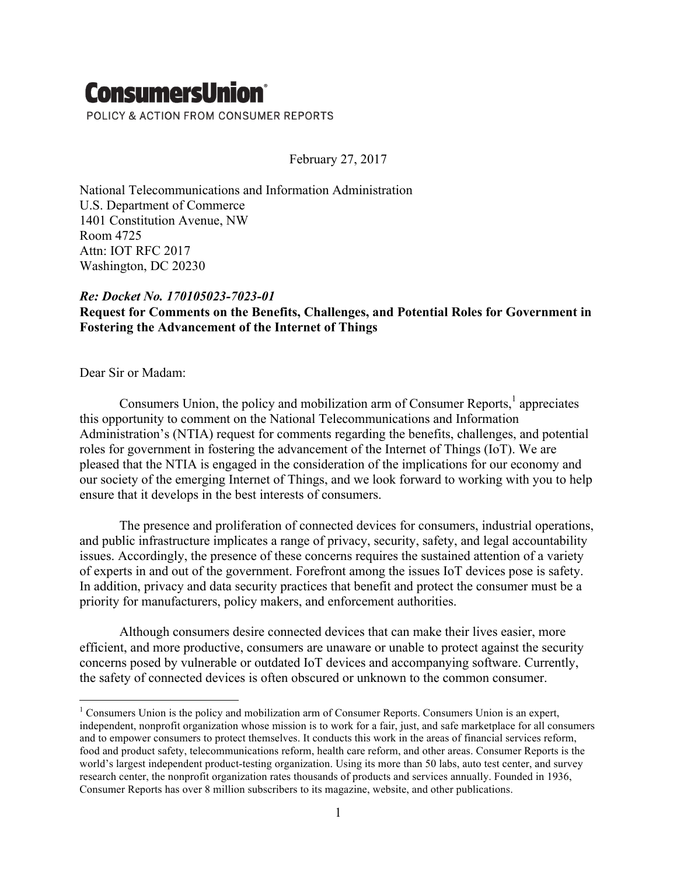## **ConsumersUnion®** POLICY & ACTION FROM CONSUMER REPORTS

February 27, 2017

National Telecommunications and Information Administration U.S. Department of Commerce 1401 Constitution Avenue, NW Room 4725 Attn: IOT RFC 2017 Washington, DC 20230

## *Re: Docket No. 170105023-7023-01*

## **Request for Comments on the Benefits, Challenges, and Potential Roles for Government in Fostering the Advancement of the Internet of Things**

Dear Sir or Madam:

Consumers Union, the policy and mobilization arm of Consumer Reports, $<sup>1</sup>$  appreciates</sup> this opportunity to comment on the National Telecommunications and Information Administration's (NTIA) request for comments regarding the benefits, challenges, and potential roles for government in fostering the advancement of the Internet of Things (IoT). We are pleased that the NTIA is engaged in the consideration of the implications for our economy and our society of the emerging Internet of Things, and we look forward to working with you to help ensure that it develops in the best interests of consumers.

The presence and proliferation of connected devices for consumers, industrial operations, and public infrastructure implicates a range of privacy, security, safety, and legal accountability issues. Accordingly, the presence of these concerns requires the sustained attention of a variety of experts in and out of the government. Forefront among the issues IoT devices pose is safety. In addition, privacy and data security practices that benefit and protect the consumer must be a priority for manufacturers, policy makers, and enforcement authorities.

Although consumers desire connected devices that can make their lives easier, more efficient, and more productive, consumers are unaware or unable to protect against the security concerns posed by vulnerable or outdated IoT devices and accompanying software. Currently, the safety of connected devices is often obscured or unknown to the common consumer.

<sup>&</sup>lt;sup>1</sup> Consumers Union is the policy and mobilization arm of Consumer Reports. Consumers Union is an expert, independent, nonprofit organization whose mission is to work for a fair, just, and safe marketplace for all consumers and to empower consumers to protect themselves. It conducts this work in the areas of financial services reform, food and product safety, telecommunications reform, health care reform, and other areas. Consumer Reports is the world's largest independent product-testing organization. Using its more than 50 labs, auto test center, and survey research center, the nonprofit organization rates thousands of products and services annually. Founded in 1936, Consumer Reports has over 8 million subscribers to its magazine, website, and other publications.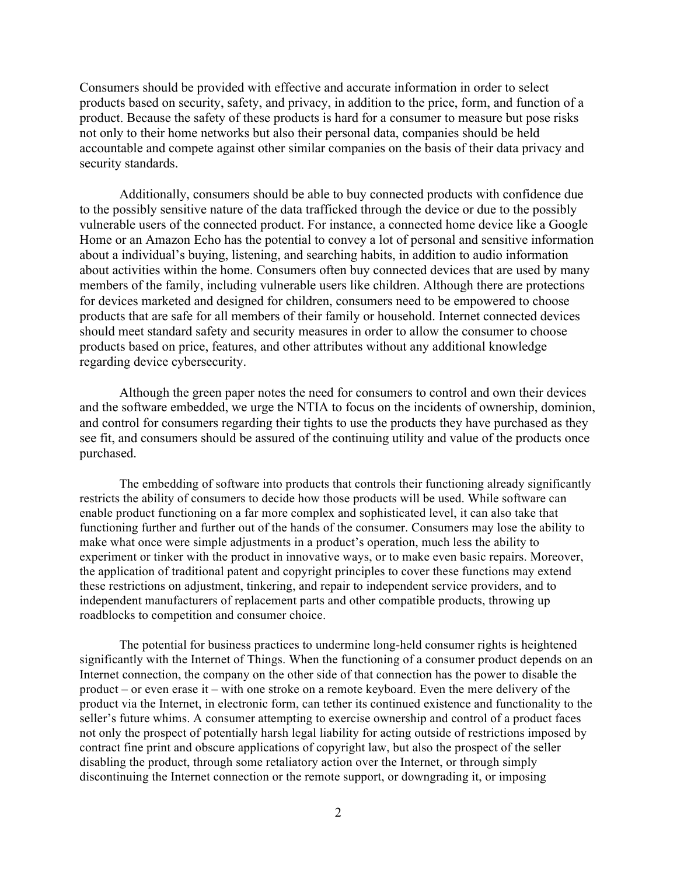Consumers should be provided with effective and accurate information in order to select products based on security, safety, and privacy, in addition to the price, form, and function of a product. Because the safety of these products is hard for a consumer to measure but pose risks not only to their home networks but also their personal data, companies should be held accountable and compete against other similar companies on the basis of their data privacy and security standards.

Additionally, consumers should be able to buy connected products with confidence due to the possibly sensitive nature of the data trafficked through the device or due to the possibly vulnerable users of the connected product. For instance, a connected home device like a Google Home or an Amazon Echo has the potential to convey a lot of personal and sensitive information about a individual's buying, listening, and searching habits, in addition to audio information about activities within the home. Consumers often buy connected devices that are used by many members of the family, including vulnerable users like children. Although there are protections for devices marketed and designed for children, consumers need to be empowered to choose products that are safe for all members of their family or household. Internet connected devices should meet standard safety and security measures in order to allow the consumer to choose products based on price, features, and other attributes without any additional knowledge regarding device cybersecurity.

Although the green paper notes the need for consumers to control and own their devices and the software embedded, we urge the NTIA to focus on the incidents of ownership, dominion, and control for consumers regarding their tights to use the products they have purchased as they see fit, and consumers should be assured of the continuing utility and value of the products once purchased.

The embedding of software into products that controls their functioning already significantly restricts the ability of consumers to decide how those products will be used. While software can enable product functioning on a far more complex and sophisticated level, it can also take that functioning further and further out of the hands of the consumer. Consumers may lose the ability to make what once were simple adjustments in a product's operation, much less the ability to experiment or tinker with the product in innovative ways, or to make even basic repairs. Moreover, the application of traditional patent and copyright principles to cover these functions may extend these restrictions on adjustment, tinkering, and repair to independent service providers, and to independent manufacturers of replacement parts and other compatible products, throwing up roadblocks to competition and consumer choice.

The potential for business practices to undermine long-held consumer rights is heightened significantly with the Internet of Things. When the functioning of a consumer product depends on an Internet connection, the company on the other side of that connection has the power to disable the product – or even erase it – with one stroke on a remote keyboard. Even the mere delivery of the product via the Internet, in electronic form, can tether its continued existence and functionality to the seller's future whims. A consumer attempting to exercise ownership and control of a product faces not only the prospect of potentially harsh legal liability for acting outside of restrictions imposed by contract fine print and obscure applications of copyright law, but also the prospect of the seller disabling the product, through some retaliatory action over the Internet, or through simply discontinuing the Internet connection or the remote support, or downgrading it, or imposing